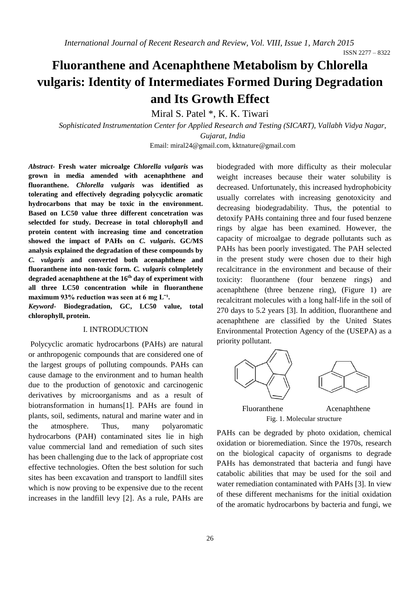# **Fluoranthene and Acenaphthene Metabolism by Chlorella vulgaris: Identity of Intermediates Formed During Degradation and Its Growth Effect**

Miral S. Patel \*, K. K. Tiwari

*Sophisticated Instrumentation Center for Applied Research and Testing (SICART), Vallabh Vidya Nagar, Gujarat, India*

Email[: miral24@gmail.com,](mailto:miral24@gmail.com) kktnature@gmail.com

*Abstract-* **Fresh water microalge** *Chlorella vulgaris* **was grown in media amended with acenaphthene and fluoranthene.** *Chlorella vulgaris* **was identified as tolerating and effectively degrading polycyclic aromatic hydrocarbons that may be toxic in the environment. Based on LC50 value three different concetration was selectded for study. Decrease in total chlorophyll and protein content with increasing time and concetration showed the impact of PAHs on** *C. vulgaris***. GC/MS analysis explained the degradation of these compounds by**  *C. vulgaris* **and converted both acenaphthene and fluoranthene into non-toxic form.** *C. vulgaris* **colmpletely degraded acenaphthene at the 16th day of experiment with all three LC50 concentration while in fluoranthene**  maximum 93% reduction was seen at 6 mg L<sup>-1</sup>.

*Keyword-* **Biodegradation, GC, LC50 value, total chlorophyll, protein.**

#### I. INTRODUCTION

Polycyclic aromatic hydrocarbons (PAHs) are natural or anthropogenic compounds that are considered one of the largest groups of polluting compounds. PAHs can cause damage to the environment and to human health due to the production of genotoxic and carcinogenic derivatives by microorganisms and as a result of biotransformation in humans[1]. PAHs are found in plants, soil, sediments, natural and marine water and in the atmosphere. Thus, many polyaromatic hydrocarbons (PAH) contaminated sites lie in high value commercial land and remediation of such sites has been challenging due to the lack of appropriate cost effective technologies. Often the best solution for such sites has been excavation and transport to landfill sites which is now proving to be expensive due to the recent increases in the landfill levy [2]. As a rule, PAHs are biodegraded with more difficulty as their molecular weight increases because their water solubility is decreased. Unfortunately, this increased hydrophobicity usually correlates with increasing genotoxicity and decreasing biodegradability. Thus, the potential to detoxify PAHs containing three and four fused benzene rings by algae has been examined. However, the capacity of microalgae to degrade pollutants such as PAHs has been poorly investigated. The PAH selected in the present study were chosen due to their high recalcitrance in the environment and because of their toxicity: fluoranthene (four benzene rings) and acenaphthene (three benzene ring), (Figure 1) are recalcitrant molecules with a long half-life in the soil of 270 days to 5.2 years [3]. In addition, fluoranthene and acenaphthene are classified by the United States Environmental Protection Agency of the (USEPA) as a priority pollutant.



PAHs can be degraded by photo oxidation, chemical oxidation or bioremediation. Since the 1970s, research on the biological capacity of organisms to degrade PAHs has demonstrated that bacteria and fungi have catabolic abilities that may be used for the soil and water remediation contaminated with PAHs [3]. In view of these different mechanisms for the initial oxidation of the aromatic hydrocarbons by bacteria and fungi, we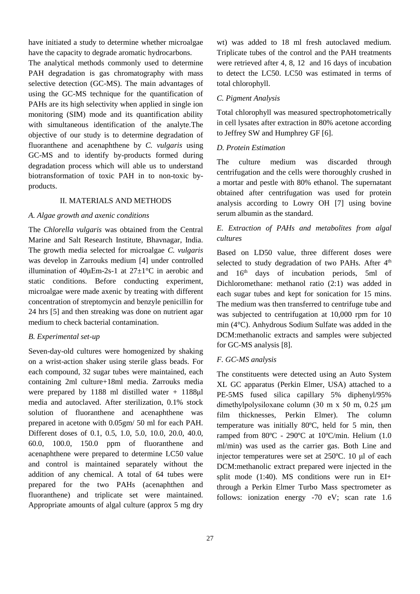have initiated a study to determine whether microalgae have the capacity to degrade aromatic hydrocarbons.

The analytical methods commonly used to determine PAH degradation is gas chromatography with mass selective detection (GC-MS). The main advantages of using the GC-MS technique for the quantification of PAHs are its high selectivity when applied in single ion monitoring (SIM) mode and its quantification ability with simultaneous identification of the analyte.The objective of our study is to determine degradation of fluoranthene and acenaphthene by *C. vulgaris* using GC-MS and to identify by-products formed during degradation process which will able us to understand biotransformation of toxic PAH in to non-toxic byproducts.

#### II. MATERIALS AND METHODS

#### *A. Algae growth and axenic conditions*

The *Chlorella vulgaris* was obtained from the Central Marine and Salt Research Institute, Bhavnagar, India. The growth media selected for microalgae *C. vulgaris* was develop in Zarrouks medium [4] under controlled illumination of  $40 \mu \text{Em-}2s-1$  at  $27 \pm 1^{\circ} \text{C}$  in aerobic and static conditions. Before conducting experiment, microalgae were made axenic by treating with different concentration of streptomycin and benzyle penicillin for 24 hrs [5] and then streaking was done on nutrient agar medium to check bacterial contamination.

#### *B. Experimental set-up*

Seven-day-old cultures were homogenized by shaking on a wrist-action shaker using sterile glass beads. For each compound, 32 sugar tubes were maintained, each containing 2ml culture+18ml media. Zarrouks media were prepared by 1188 ml distilled water + 1188μl media and autoclaved. After sterilization, 0.1% stock solution of fluoranthene and acenaphthene was prepared in acetone with 0.05gm/ 50 ml for each PAH. Different doses of 0.1, 0.5, 1.0, 5.0, 10.0, 20.0, 40.0, 60.0, 100.0, 150.0 ppm of fluoranthene and acenaphthene were prepared to determine LC50 value and control is maintained separately without the addition of any chemical. A total of 64 tubes were prepared for the two PAHs (acenaphthen and fluoranthene) and triplicate set were maintained. Appropriate amounts of algal culture (approx 5 mg dry wt) was added to 18 ml fresh autoclaved medium. Triplicate tubes of the control and the PAH treatments were retrieved after 4, 8, 12 and 16 days of incubation to detect the LC50. LC50 was estimated in terms of total chlorophyll.

#### *C. Pigment Analysis*

Total chlorophyll was measured spectrophotometrically in cell lysates after extraction in 80% acetone according to Jeffrey SW and Humphrey GF [6].

#### *D. Protein Estimation*

The culture medium was discarded through centrifugation and the cells were thoroughly crushed in a mortar and pestle with 80% ethanol. The supernatant obtained after centrifugation was used for protein analysis according to Lowry OH [7] using bovine serum albumin as the standard.

### *E. Extraction of PAHs and metabolites from algal cultures*

Based on LD50 value, three different doses were selected to study degradation of two PAHs. After 4<sup>th</sup> and 16th days of incubation periods, 5ml of Dichloromethane: methanol ratio (2:1) was added in each sugar tubes and kept for sonication for 15 mins. The medium was then transferred to centrifuge tube and was subjected to centrifugation at 10,000 rpm for 10 min (4°C). Anhydrous Sodium Sulfate was added in the DCM:methanolic extracts and samples were subjected for GC-MS analysis [8].

#### *F. GC-MS analysis*

The constituents were detected using an Auto System XL GC apparatus (Perkin Elmer, USA) attached to a PE-5MS fused silica capillary 5% diphenyl/95% dimethylpolysiloxane column (30 m x 50 m, 0.25 μm film thicknesses, Perkin Elmer). The column temperature was initially 80ºC, held for 5 min, then ramped from 80ºC - 290ºC at 10ºC/min. Helium (1.0 ml/min) was used as the carrier gas. Both Line and injector temperatures were set at 250ºC. 10 μl of each DCM:methanolic extract prepared were injected in the split mode (1:40). MS conditions were run in EI+ through a Perkin Elmer Turbo Mass spectrometer as follows: ionization energy -70 eV; scan rate 1.6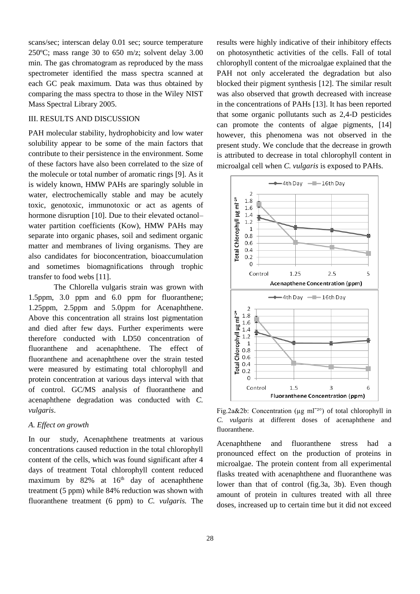scans/sec; interscan delay 0.01 sec; source temperature 250ºC; mass range 30 to 650 m/z; solvent delay 3.00 min. The gas chromatogram as reproduced by the mass spectrometer identified the mass spectra scanned at each GC peak maximum. Data was thus obtained by comparing the mass spectra to those in the Wiley NIST Mass Spectral Library 2005.

#### III. RESULTS AND DISCUSSION

PAH molecular stability, hydrophobicity and low water solubility appear to be some of the main factors that contribute to their persistence in the environment. Some of these factors have also been correlated to the size of the molecule or total number of aromatic rings [9]. As it is widely known, HMW PAHs are sparingly soluble in water, electrochemically stable and may be acutely toxic, genotoxic, immunotoxic or act as agents of hormone disruption [10]. Due to their elevated octanolwater partition coefficients (Kow), HMW PAHs may separate into organic phases, soil and sediment organic matter and membranes of living organisms. They are also candidates for bioconcentration, bioaccumulation and sometimes biomagnifications through trophic transfer to food webs [11].

The Chlorella vulgaris strain was grown with 1.5ppm, 3.0 ppm and 6.0 ppm for fluoranthene; 1.25ppm, 2.5ppm and 5.0ppm for Acenaphthene. Above this concentration all strains lost pigmentation and died after few days. Further experiments were therefore conducted with LD50 concentration of fluoranthene and acenaphthene. The effect of fluoranthene and acenaphthene over the strain tested were measured by estimating total chlorophyll and protein concentration at various days interval with that of control. GC/MS analysis of fluoranthene and acenaphthene degradation was conducted with *C. vulgaris*.

#### *A. Effect on growth*

In our study, Acenaphthene treatments at various concentrations caused reduction in the total chlorophyll content of the cells, which was found significant after 4 days of treatment Total chlorophyll content reduced maximum by  $82\%$  at  $16<sup>th</sup>$  day of acenaphthene treatment (5 ppm) while 84% reduction was shown with fluoranthene treatment (6 ppm) to *C. vulgaris.* The results were highly indicative of their inhibitory effects on photosynthetic activities of the cells. Fall of total chlorophyll content of the microalgae explained that the PAH not only accelerated the degradation but also blocked their pigment synthesis [12]. The similar result was also observed that growth decreased with increase in the concentrations of PAHs [13]. It has been reported that some organic pollutants such as 2,4-D pesticides can promote the contents of algae pigments, [14] however, this phenomena was not observed in the present study. We conclude that the decrease in growth is attributed to decrease in total chlorophyll content in microalgal cell when *C. vulgaris* is exposed to PAHs.



Fig.2a&2b: Concentration ( $\mu$ g ml<sup>-20</sup>) of total chlorophyll in *C. vulgaris* at different doses of acenaphthene and fluoranthene.

Acenaphthene and fluoranthene stress had a pronounced effect on the production of proteins in microalgae. The protein content from all experimental flasks treated with acenaphthene and fluoranthene was lower than that of control (fig.3a, 3b). Even though amount of protein in cultures treated with all three doses, increased up to certain time but it did not exceed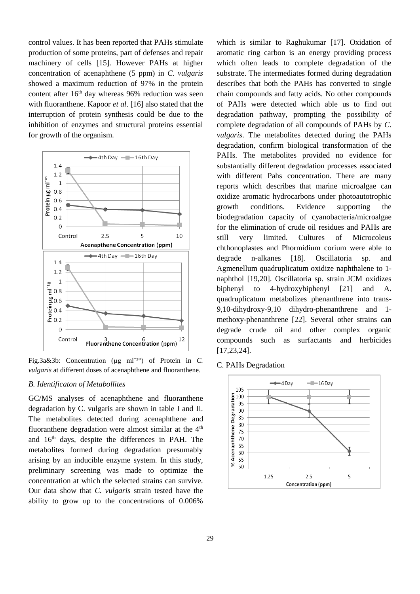control values. It has been reported that PAHs stimulate production of some proteins, part of defenses and repair machinery of cells [15]. However PAHs at higher concentration of acenaphthene (5 ppm) in *C. vulgaris* showed a maximum reduction of 97% in the protein content after 16<sup>th</sup> day whereas 96% reduction was seen with fluoranthene. Kapoor *et al*. [16] also stated that the interruption of protein synthesis could be due to the inhibition of enzymes and structural proteins essential for growth of the organism.



Fig.3a&3b: Concentration (ug m<sup>-20</sup>) of Protein in *C*. *vulgaris* at different doses of acenaphthene and fluoranthene.

#### *B. Identificaton of Metabollites*

GC/MS analyses of acenaphthene and fluoranthene degradation by C. vulgaris are shown in table I and II. The metabolites detected during acenaphthene and fluoranthene degradation were almost similar at the  $4<sup>th</sup>$ and 16th days, despite the differences in PAH. The metabolites formed during degradation presumably arising by an inducible enzyme system. In this study, preliminary screening was made to optimize the concentration at which the selected strains can survive. Our data show that *C. vulgaris* strain tested have the ability to grow up to the concentrations of 0.006%

which is similar to Raghukumar [17]. Oxidation of aromatic ring carbon is an energy providing process which often leads to complete degradation of the substrate. The intermediates formed during degradation describes that both the PAHs has converted to single chain compounds and fatty acids. No other compounds of PAHs were detected which able us to find out degradation pathway, prompting the possibility of complete degradation of all compounds of PAHs by *C. vulgaris*. The metabolites detected during the PAHs degradation, confirm biological transformation of the PAHs. The metabolites provided no evidence for substantially different degradation processes associated with different Pahs concentration. There are many reports which describes that marine microalgae can oxidize aromatic hydrocarbons under photoautotrophic growth conditions. Evidence supporting the biodegradation capacity of cyanobacteria/microalgae for the elimination of crude oil residues and PAHs are still very limited. Cultures of Microcoleus chthonoplastes and Phormidium corium were able to degrade n-alkanes [18]. Oscillatoria sp. and Agmenellum quadruplicatum oxidize naphthalene to 1 naphthol [19,20]. Oscillatoria sp. strain JCM oxidizes biphenyl to 4-hydroxybiphenyl [21] and A. quadruplicatum metabolizes phenanthrene into trans-9,10-dihydroxy-9,10 dihydro-phenanthrene and 1 methoxy-phenanthrene [22]. Several other strains can degrade crude oil and other complex organic compounds such as surfactants and herbicides [17,23,24].

C. PAHs Degradation

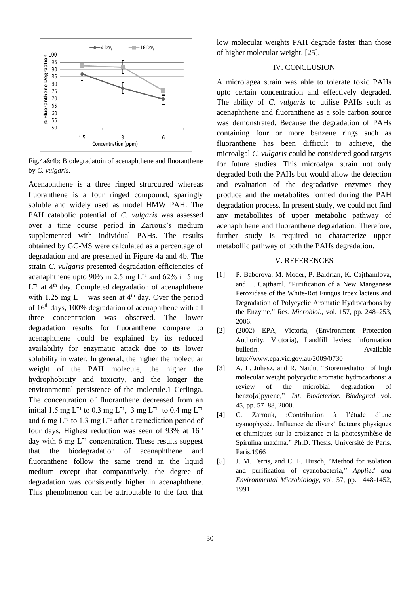

Fig.4a&4b: Biodegradatoin of acenaphthene and fluoranthene by *C. vulgaris*.

Acenaphthene is a three ringed strurcutred whereas fluoranthene is a four ringed compound, sparingly soluble and widely used as model HMW PAH. The PAH catabolic potential of *C. vulgaris* was assessed over a time course period in Zarrouk's medium supplemented with individual PAHs. The results obtained by GC-MS were calculated as a percentage of degradation and are presented in Figure 4a and 4b. The strain *C. vulgaris* presented degradation efficiencies of acenaphthene upto 90% in 2.5 mg  $L^{-1}$  and 62% in 5 mg  $L^{-1}$  at  $4<sup>th</sup>$  day. Completed degradation of acenaphthene with 1.25 mg  $L^{-1}$  was seen at 4<sup>th</sup> day. Over the period of 16th days, 100% degradation of acenaphthene with all three concentration was observed. The lower degradation results for fluoranthene compare to acenaphthene could be explained by its reduced availability for enzymatic attack due to its lower solubility in water. In general, the higher the molecular weight of the PAH molecule, the higher the hydrophobicity and toxicity, and the longer the environmental persistence of the molecule.1 Cerlinga. The concentration of fluoranthene decreased from an initial 1.5 mg L<sup>-1</sup> to 0.3 mg L<sup>-1</sup>, 3 mg L<sup>-1</sup> to 0.4 mg L<sup>-1</sup> and 6 mg  $L^{-1}$  to 1.3 mg  $L^{-1}$  after a remediation period of four days. Highest reduction was seen of 93% at 16<sup>th</sup> day with 6 mg  $L^{-1}$  concentration. These results suggest that the biodegradation of acenaphthene and fluoranthene follow the same trend in the liquid medium except that comparatively, the degree of degradation was consistently higher in acenaphthene. This phenolmenon can be attributable to the fact that

low molecular weights PAH degrade faster than those of higher molecular weight. [25].

#### IV. CONCLUSION

A microlagea strain was able to tolerate toxic PAHs upto certain concentration and effectively degraded. The ability of *C. vulgaris* to utilise PAHs such as acenaphthene and fluoranthene as a sole carbon source was demonstrated. Because the degradation of PAHs containing four or more benzene rings such as fluoranthene has been difficult to achieve, the microalgal *C. vulgaris* could be considered good targets for future studies. This microalgal strain not only degraded both the PAHs but would allow the detection and evaluation of the degradative enzymes they produce and the metabolites formed during the PAH degradation process. In present study, we could not find any metabollites of upper metabolic pathway of acenaphthene and fluoranthene degradation. Therefore, further study is required to characterize upper metabollic pathway of both the PAHs degradation.

#### V. REFERENCES

- [1] P. Baborova, M. Moder, P. Baldrian, K. Cajthamlova, and T. Cajthaml, "Purification of a New Manganese Peroxidase of the White-Rot Fungus Irpex lacteus and Degradation of Polycyclic Aromatic Hydrocarbons by the Enzyme," *Res. Microbiol.,* vol. 157, pp. 248–253, 2006.
- [2] (2002) EPA, Victoria, (Environment Protection Authority, Victoria), Landfill levies: information bulletin. Available [http://www.](http://www/)epa.vic.gov.au/2009/0730
- [3] A. L. Juhasz, and R. Naidu, "Bioremediation of high molecular weight polycyclic aromatic hydrocarbons: a review of the microbial degradation of benzo[*a*]pyrene," *Int. Biodeterior. Biodegrad.*, vol. 45, pp. 57–88, 2000.
- [4] C. Zarrouk, :Contribution à l'étude d'une cyanophycée. Influence de divers' facteurs physiques et chimiques sur la croissance et la photosynthèse de Spirulina maxima," Ph.D. Thesis, Université de Paris, Paris,1966
- [5] J. M. Ferris, and C. F. Hirsch, "Method for isolation and purification of cyanobacteria," *Applied and Environmental Microbiology*, vol. 57, pp. 1448-1452, 1991.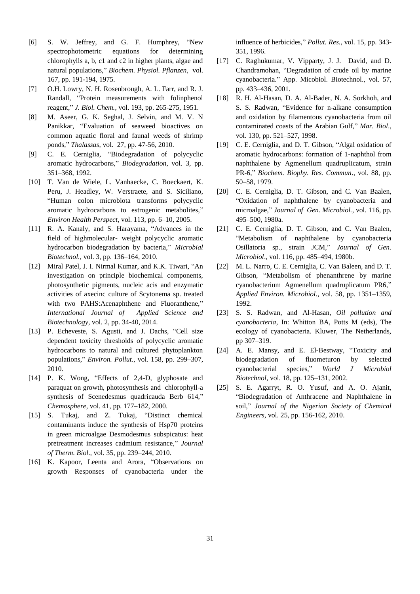- [6] S. W. Jeffrey, and G. F. Humphrey, "New spectrophotometric equations for determining chlorophylls a, b, c1 and c2 in higher plants, algae and natural populations," *Biochem. Physiol. Pflanzen*, vol. 167, pp. 191-194, 1975.
- [7] O.H. Lowry, N. H. Rosenbrough, A. L. Farr, and R. J. Randall, "Protein measurements with folinphenol reagent," *J. Biol. Chem.*, vol. 193, pp. 265-275, 1951.
- [8] M. Aseer, G. K. Seghal, J. Selvin, and M. V. N Panikkar, "Evaluation of seaweed bioactives on common aquatic floral and faunal weeds of shrimp ponds," *Thalassas*, vol. 27, pp. 47-56, 2010.
- [9] C. E. Cerniglia, "Biodegradation of polycyclic aromatic hydrocarbons," *Biodegradation*, vol. 3, pp. 351–368, 1992.
- [10] T. Van de Wiele, L. Vanhaecke, C. Boeckaert, K. Peru, J. Headley, W. Verstraete, and S. Siciliano, "Human colon microbiota transforms polycyclic aromatic hydrocarbons to estrogenic metabolites," *Environ Health Perspect*, vol. 113, pp. 6–10, 2005.
- [11] R. A. Kanaly, and S. Harayama, "Advances in the field of highmolecular- weight polycyclic aromatic hydrocarbon biodegradation by bacteria," *Microbial Biotechnol.*, vol. 3, pp. 136–164, 2010.
- [12] Miral Patel, J. I. Nirmal Kumar, and K.K. Tiwari, "An investigation on principle biochemical components, photosynthetic pigments, nucleic acis and enzymatic activities of axecinc culture of Scytonema sp. treated with two PAHS:Acenaphthene and Fluoranthene," *International Journal of Applied Science and Biotechnology*, vol. 2, pp. 34-40, 2014.
- [13] P. Echeveste, S. Agusti, and J. Dachs, "Cell size dependent toxicity thresholds of polycyclic aromatic hydrocarbons to natural and cultured phytoplankton populations," *Environ. Pollut*., vol. 158, pp. 299–307, 2010.
- [14] P. K. Wong, "Effects of 2.4-D, glyphosate and paraquat on growth, photosynthesis and chlorophyll-a synthesis of Scenedesmus quadricauda Berb 614," *Chemosphere*, vol. 41, pp. 177–182, 2000.
- [15] S. Tukaj, and Z. Tukaj, "Distinct chemical contaminants induce the synthesis of Hsp70 proteins in green microalgae Desmodesmus subspicatus: heat pretreatment increases cadmium resistance," *Journal of Therm. Biol*., vol. 35, pp. 239–244, 2010.
- [16] K. Kapoor, Leenta and Arora, "Observations on growth Responses of cyanobacteria under the

influence of herbicides," *Pollut. Res.*, vol. 15, pp. 343- 351, 1996.

- [17] C. Raghukumar, V. Vipparty, J. J. David, and D. Chandramohan, "Degradation of crude oil by marine cyanobacteria." App. Micobiol. Biotechnol., vol. 57, pp. 433–436, 2001.
- [18] R. H. Al-Hasan, D. A. Al-Bader, N. A. Sorkhoh, and S. S. Radwan, "Evidence for n-alkane consumption and oxidation by filamentous cyanobacteria from oil contaminated coasts of the Arabian Gulf," *Mar. Biol*., vol. 130, pp. 521–527, 1998.
- [19] C. E. Cerniglia, and D. T. Gibson, "Algal oxidation of aromatic hydrocarbons: formation of 1-naphthol from naphthalene by Agmenellum quadruplicatum, strain PR-6," *Biochem. Biophy. Res. Commun*., vol. 88, pp. 50–58, 1979.
- [20] C. E. Cerniglia, D. T. Gibson, and C. Van Baalen, "Oxidation of naphthalene by cyanobacteria and microalgae," *Journal of Gen. Microbiol.*, vol. 116, pp. 495–500, 1980a.
- [21] C. E. Cerniglia, D. T. Gibson, and C. Van Baalen, "Metabolism of naphthalene by cyanobacteria Osillatoria sp., strain JCM," *Journal of Gen. Microbiol*., vol. 116, pp. 485–494, 1980b.
- [22] M. L. Narro, C. E. Cerniglia, C. Van Baleen, and D. T. Gibson, "Metabolism of phenanthrene by marine cyanobacterium Agmenellum quadruplicatum PR6," *Applied Environ. Microbiol*., vol. 58, pp. 1351–1359, 1992.
- [23] S. S. Radwan, and Al-Hasan, *Oil pollution and cyanobacteria*, In: Whitton BA, Potts M (eds), The ecology of cyanobacteria. Kluwer, The Netherlands, pp 307–319.
- [24] A. E. Mansy, and E. El-Bestway, "Toxicity and biodegradation of fluometuron by selected cyanobacterial species," *World J Microbiol Biotechnol*, vol. 18, pp. 125–131, 2002.
- [25] S. E. Agarryt, R. O. Yusuf, and A. O. Ajanit, "Biodegradation of Anthracene and Naphthalene in soil," *Journal of the Nigerian Society of Chemical Engineers*, vol. 25, pp. 156-162, 2010.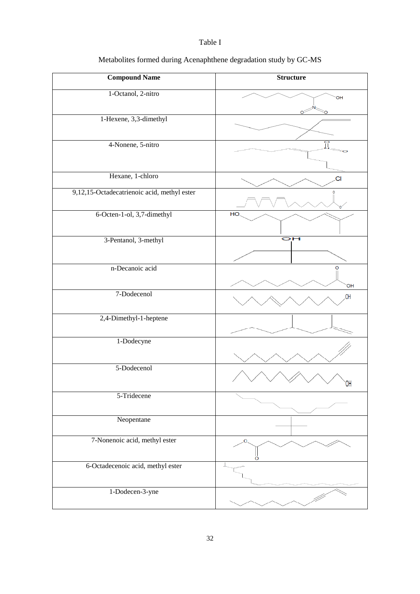### Table I

| <b>Compound Name</b>                        | <b>Structure</b> |
|---------------------------------------------|------------------|
| 1-Octanol, 2-nitro                          | OH               |
|                                             |                  |
| 1-Hexene, 3,3-dimethyl                      |                  |
| 4-Nonene, 5-nitro                           |                  |
|                                             |                  |
|                                             |                  |
| Hexane, 1-chloro                            | .CI              |
| 9,12,15-Octadecatrienoic acid, methyl ester |                  |
| 6-Octen-1-ol, 3,7-dimethyl                  | HO.              |
| 3-Pentanol, 3-methyl                        | OН               |
| n-Decanoic acid                             | O<br><b>OH</b>   |
| 7-Dodecenol                                 | .OH              |
| 2,4-Dimethyl-1-heptene                      |                  |
| 1-Dodecyne                                  |                  |
| 5-Dodecenol                                 |                  |
| 5-Tridecene                                 |                  |
| Neopentane                                  |                  |
| 7-Nonenoic acid, methyl ester               | O.<br>ö          |
| 6-Octadecenoic acid, methyl ester           |                  |
| 1-Dodecen-3-yne                             |                  |

# Metabolites formed during Acenaphthene degradation study by GC-MS